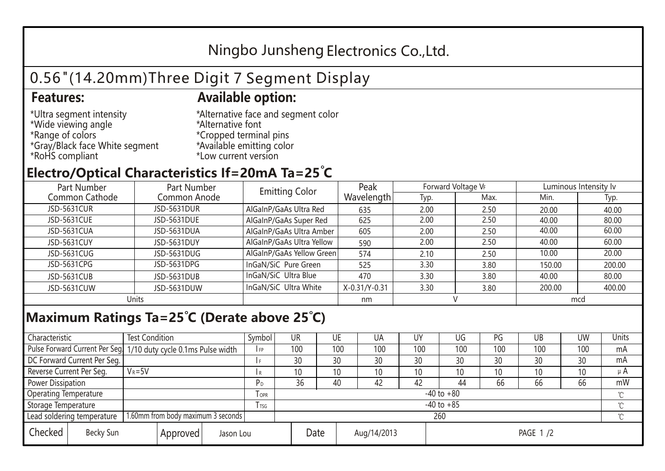## Ningbo Junsheng Electronics Co.,Ltd.

# 0.56"(14.20mm)Three Digit 7 Segment Display

### **Features: Available option:**

- \*Ultra segment intensity \*Wide viewing angle \*Range of colors \*Gray/Black face White segment \*RoHS compliant
- \*Alternative face and segment color \*Alternative font \*Cropped terminal pins \*Available emitting color \*Low current version

### **Electro/Optical Characteristics If=20mA Ta=25 C**

| Part Number    | Part Number  | <b>Emitting Color</b>     | Peak          | Forward Voltage VF |      | Luminous Intensity lv |        |  |
|----------------|--------------|---------------------------|---------------|--------------------|------|-----------------------|--------|--|
| Common Cathode | Common Anode |                           | Wavelength    | Typ.               | Max. | Min.                  | Typ.   |  |
| JSD-5631CUR    | JSD-5631DUR  | AlGaInP/GaAs Ultra Red    | 635           | 2.00               | 2.50 | 20.00                 | 40.00  |  |
| JSD-5631CUE    | JSD-5631DUE  | AlGaInP/GaAs Super Red    | 625           | 2.00               | 2.50 | 40.00                 | 80.00  |  |
| JSD-5631CUA    | JSD-5631DUA  | AlGaInP/GaAs Ultra Amber  | 605           | 2.00               | 2.50 | 40.00                 | 60.00  |  |
| JSD-5631CUY    | JSD-5631DUY  | AlGaInP/GaAs Ultra Yellow | 590           | 2.00               | 2.50 | 40.00                 | 60.00  |  |
| JSD-5631CUG    | JSD-5631DUG  | AlGaInP/GaAs Yellow Green | 574           | 2.10               | 2.50 | 10.00                 | 20.00  |  |
| JSD-5631CPG    | JSD-5631DPG  | InGaN/SiC Pure Green      | 525           | 3.30               | 3.80 | 150.00                | 200.00 |  |
| JSD-5631CUB    | JSD-5631DUB  | InGaN/SiC Ultra Blue      | 470           | 3.30               | 3.80 | 40.00                 | 80.00  |  |
| JSD-5631CUW    | JSD-5631DUW  | InGaN/SiC Ultra White     | X-0.31/Y-0.31 | 3.30               | 3.80 | 200.00                | 400.00 |  |
| Units          |              |                           | nm            |                    |      | mcd                   |        |  |

### **Maximum Ratings Ta=25°C (Derate above 25°C)**

| Characteristic                                |            | <b>Test Condition</b><br>Symbol                                  |                |                     | UR              |  | UE  | UA  | UY       | UG  | PG  | UB              | <b>UW</b> | <b>Units</b> |
|-----------------------------------------------|------------|------------------------------------------------------------------|----------------|---------------------|-----------------|--|-----|-----|----------|-----|-----|-----------------|-----------|--------------|
|                                               |            | Pulse Forward Current Per Seg. 1/10 duty cycle 0.1ms Pulse width |                |                     | 100             |  | 100 | 100 | 100      | 100 | 100 | 100             | 100       | mA           |
| DC Forward Current Per Seg.                   |            |                                                                  |                |                     | 30              |  | 30  | 30  | 30       | 30  | 30  | 30              | 30        | mA           |
| Reverse Current Per Seg.                      | $V_R = 5V$ |                                                                  |                | I R                 | 10 <sup>°</sup> |  | 10  | 10  | 10       | 10  | 10  | 10 <sup>°</sup> | 10        | $\mu$ A      |
| <b>Power Dissipation</b>                      |            |                                                                  |                |                     | 36              |  | 40  | 42  | 42       | 44  | 66  | 66              | 66        | mW           |
| <b>Operating Temperature</b>                  |            |                                                                  | <b>OPR</b>     | $-40$ to $+80$      |                 |  |     |     |          |     |     | $\sim$          |           |              |
| Storage Temperature                           |            | <b>I</b> TSG                                                     | $-40$ to $+85$ |                     |                 |  |     |     |          |     |     | $\sim$          |           |              |
| Lead soldering temperature                    |            | 1.60mm from body maximum 3 seconds                               |                | 260<br>$\gamma$     |                 |  |     |     |          |     |     |                 |           |              |
| Checked<br>Becky Sun<br>Approved<br>Jason Lou |            |                                                                  |                | Date<br>Aug/14/2013 |                 |  |     |     | PAGE 1/2 |     |     |                 |           |              |